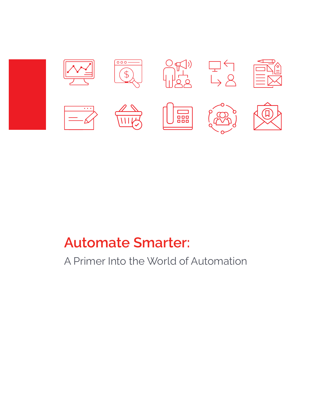

# **Automate Smarter:**

A Primer Into the World of Automation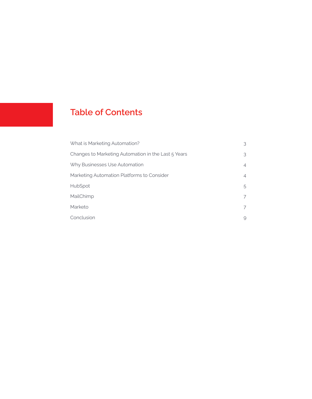### **Table of Contents**

| What is Marketing Automation?                       | 3 |
|-----------------------------------------------------|---|
| Changes to Marketing Automation in the Last 5 Years | 3 |
| Why Businesses Use Automation                       | 4 |
| Marketing Automation Platforms to Consider          | 4 |
| <b>HubSpot</b>                                      | 5 |
| MailChimp                                           | 7 |
| Marketo                                             |   |
| Conclusion                                          | 9 |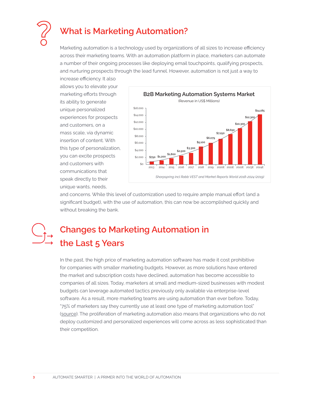

### **What is Marketing Automation?**

Marketing automation is a technology used by organizations of all sizes to increase efficiency across their marketing teams. With an automation platform in place, marketers can automate a number of their ongoing processes like deploying email touchpoints, qualifying prospects, and nurturing prospects through the lead funnel. However, automation is not just a way to

increase efficiency. It also allows you to elevate your marketing efforts through its ability to generate unique personalized experiences for prospects and customers, on a mass scale, via dynamic insertion of content. With this type of personalization, you can excite prospects and customers with communications that speak directly to their unique wants, needs,



and concerns. While this level of customization used to require ample manual effort (and a significant budget), with the use of automation, this can now be accomplished quickly and without breaking the bank.

## **Changes to Marketing Automation in the Last 5 Years**

In the past, the high price of marketing automation software has made it cost prohibitive for companies with smaller marketing budgets. However, as more solutions have entered the market and subscription costs have declined, automation has become accessible to companies of all sizes. Today, marketers at small and medium-sized businesses with modest budgets can leverage automated tactics previously only available via enterprise-level software. As a result, more marketing teams are using automation than ever before. Today, "75% of marketers say they currently use at least one type of marketing automation tool" (source). The proliferation of marketing automation also means that organizations who do not deploy customized and personalized experiences will come across as less sophisticated than their competition.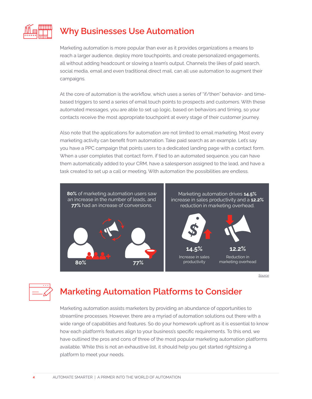

### **Why Businesses Use Automation**

Marketing automation is more popular than ever as it provides organizations a means to reach a larger audience, deploy more touchpoints, and create personalized engagements, all without adding headcount or slowing a team's output. Channels the likes of paid search, social media, email and even traditional direct mail, can all use automation to augment their campaigns.

At the core of automation is the workflow, which uses a series of "if/then" behavior- and timebased triggers to send a series of email touch points to prospects and customers. With these automated messages, you are able to set up logic, based on behaviors and timing, so your contacts receive the most appropriate touchpoint at every stage of their customer journey.

Also note that the applications for automation are not limited to email marketing. Most every marketing activity can benefit from automation. Take paid search as an example. Let's say you have a PPC campaign that points users to a dedicated landing page with a contact form. When a user completes that contact form, if tied to an automated sequence, you can have them automatically added to your CRM, have a salesperson assigned to the lead, and have a task created to set up a call or meeting. With automation the possibilities are endless.



*Source*

| ÷<br>. . |  |
|----------|--|
|          |  |

### **Marketing Automation Platforms to Consider**

Marketing automation assists marketers by providing an abundance of opportunities to streamline processes. However, there are a myriad of automation solutions out there with a wide range of capabilities and features. So do your homework upfront as it is essential to know how each platform's features align to your business's specific requirements. To this end, we have outlined the pros and cons of three of the most popular marketing automation platforms available. While this is not an exhaustive list, it should help you get started rightsizing a platform to meet your needs.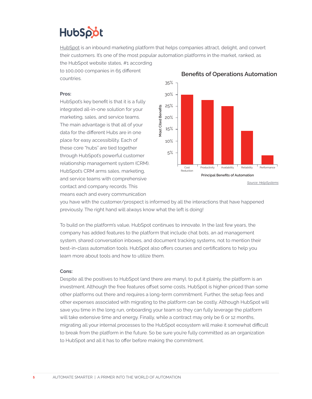

HubSpot is an inbound marketing platform that helps companies attract, delight, and convert their customers. It's one of the most popular automation platforms in the market, ranked, as the HubSpot website states, #1 according

to 100,000 companies in 65 different countries.

#### **Pros:**

HubSpot's key benefit is that it is a fully integrated all-in-one solution for your marketing, sales, and service teams. The main advantage is that all of your data for the different Hubs are in one place for easy accessibility. Each of these core "hubs" are tied together through HubSpot's powerful customer relationship management system (CRM). HubSpot's CRM arms sales, marketing, and service teams with comprehensive contact and company records. This means each and every communication



**Benefits of Operations Automation**

you have with the customer/prospect is informed by all the interactions that have happened previously. The right hand will always know what the left is doing!

To build on the platform's value, HubSpot continues to innovate. In the last few years, the company has added features to the platform that include chat bots, an ad management system, shared conversation inboxes, and document tracking systems, not to mention their best-in-class automation tools. HubSpot also offers courses and certifications to help you learn more about tools and how to utilize them.

#### **Cons:**

Despite all the positives to HubSpot (and there are many), to put it plainly, the platform is an investment. Although the free features offset some costs, HubSpot is higher-priced than some other platforms out there and requires a long-term commitment. Further, the setup fees and other expenses associated with migrating to the platform can be costly. Although HubSpot will save you time in the long run, onboarding your team so they can fully leverage the platform will take extensive time and energy. Finally, while a contract may only be 6 or 12 months, migrating all your internal processes to the HubSpot ecosystem will make it somewhat difficult to break from the platform in the future. So be sure you're fully committed as an organization to HubSpot and all it has to offer before making the commitment.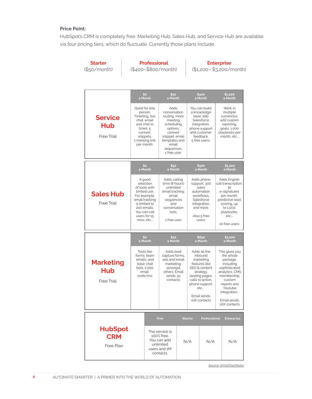#### **Price Point:**

HubSpot's CRM is completely free. Marketing Hub, Sales Hub, and Service Hub are available via four pricing tiers, which do fluctuate. Currently those plans include:

| <b>Starter</b><br>(\$50/month)               |  | <b>Professional</b><br>(\$400-\$800/month)                                                                                                                          |                                                                                                                                                                |                                                                                                                                      | <b>Enterprise</b><br>(\$1,200-\$3,200/month) |                                                                                                                                                                                    |  |                                                                                                                                                                                           |
|----------------------------------------------|--|---------------------------------------------------------------------------------------------------------------------------------------------------------------------|----------------------------------------------------------------------------------------------------------------------------------------------------------------|--------------------------------------------------------------------------------------------------------------------------------------|----------------------------------------------|------------------------------------------------------------------------------------------------------------------------------------------------------------------------------------|--|-------------------------------------------------------------------------------------------------------------------------------------------------------------------------------------------|
|                                              |  | S٥<br>a Month                                                                                                                                                       | \$50<br>a Month                                                                                                                                                |                                                                                                                                      |                                              | \$400<br>a Month                                                                                                                                                                   |  | \$1,200<br>a Month                                                                                                                                                                        |
| <b>Service</b><br>Hub<br><b>Free Trial</b>   |  | Good for one<br>person.<br>Ticketing, live<br>chat, email<br>and chat to<br>ticket, 5<br>canned,<br>snippets,<br>1 meeting link<br>per month.                       | Adds<br>conversation<br>routing, more<br>meeting<br>scheduling<br>options,<br>canned<br>snippet, email<br>templates and<br>email<br>sequences.<br>1 free user, |                                                                                                                                      |                                              | You can build<br>a knowledge<br>base, add<br>Salesforce<br>integration,<br>phone support<br>and customer<br>feedback.<br>5 free users.                                             |  | Work in<br>multiple<br>currencies,<br>add custom<br>reporting,<br>goals, 1,000<br>playbooks per<br>month, etc                                                                             |
|                                              |  | \$o<br>\$50<br>a Month<br>a Month                                                                                                                                   |                                                                                                                                                                |                                                                                                                                      | \$500<br>a Month                             |                                                                                                                                                                                    |  | \$1,200<br>a Month                                                                                                                                                                        |
| <b>Sales Hub</b><br><b>Free Trial</b>        |  | A good<br>selection<br>of tools with<br>limited use.<br>For example,<br>email tracking<br>is limited to<br>200 emails.<br>You can call<br>users for 15<br>mins, etc |                                                                                                                                                                | Adds calling<br>time (8 hours)<br>unlimited<br>email tracking,<br>email<br>sequences<br>and<br>conversation<br>bots.<br>1 free user. |                                              | Adds phone<br>support, 300<br>sales<br>automation<br>workflows,<br>Salesforce<br>integration,<br>and more.<br>Also 5 free<br>users.                                                |  | Adds English<br>call transcription,<br>30<br>e-signatures<br>per month,<br>predictive lead<br>scoring, up<br>to 1,000<br>playbooks,<br>etc<br>10 free users                               |
|                                              |  | \$0<br>a Month                                                                                                                                                      |                                                                                                                                                                | \$50<br>a Month                                                                                                                      |                                              | \$890<br>a Month                                                                                                                                                                   |  | \$3,200<br>a Month                                                                                                                                                                        |
| <b>Marketing</b><br>Hub<br><b>Free Trial</b> |  | <b>Tools like</b><br>forms, team<br>emails, and<br>basic chat<br>bots. 2,000<br>email<br>ends/mo                                                                    |                                                                                                                                                                | Adds lead<br>capture forms,<br>ads and email<br>marketing,<br>amongst<br>others. Email<br>sends: 5x<br>contacts                      |                                              | Adds all the<br>inbound<br>marketing<br>features like<br>SEO & content<br>strategy,<br>landing pages,<br>calls to action,<br>phone support,<br>etc<br>Email sends:<br>10X contacts |  | This gives you<br>the whole<br>package,<br>including<br>sophisticated<br>analytics, CMS<br>membership,<br>custom<br>reports and<br>Youtube<br>integration<br>Email sends:<br>20X contacts |
|                                              |  |                                                                                                                                                                     | Free                                                                                                                                                           |                                                                                                                                      | <b>Starter</b>                               | Professional                                                                                                                                                                       |  | <b>Enterprise</b>                                                                                                                                                                         |
| <b>HubSpot</b><br><b>CRM</b><br>Free Plan    |  | The service is<br>100% free.<br>You can add<br>unlimited<br>users and 1M<br>contacts.                                                                               |                                                                                                                                                                | N/A                                                                                                                                  |                                              | N/A                                                                                                                                                                                |  | N/A                                                                                                                                                                                       |

*Source: EmailToolTester Source: EmailToolTester*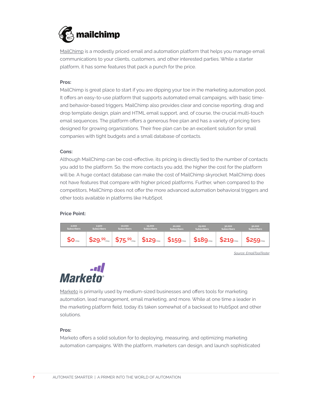

MailChimp is a modestly priced email and automation platform that helps you manage email communications to your clients, customers, and other interested parties. While a starter platform, it has some features that pack a punch for the price.

#### **Pros:**

MailChimp is great place to start if you are dipping your toe in the marketing automation pool. It offers an easy-to-use platform that supports automated email campaigns, with basic timeand behavior-based triggers. MailChimp also provides clear and concise reporting, drag and drop template design, plain and HTML email support, and, of course, the crucial multi-touch email sequences. The platform offers a generous free plan and has a variety of pricing tiers designed for growing organizations. Their free plan can be an excellent solution for small companies with tight budgets and a small database of contacts.

#### **Cons:**

Although MailChimp can be cost-effective, its pricing is directly tied to the number of contacts you add to the platform. So, the more contacts you add, the higher the cost for the platform will be. A huge contact database can make the cost of MailChimp skyrocket. MailChimp does not have features that compare with higher priced platforms. Further, when compared to the competitors, MailChimp does not offer the more advanced automation behavioral triggers and other tools available in platforms like HubSpot.

#### **Price Point:**



*Source: EmailToolTester*



Marketo is primarily used by medium-sized businesses and offers tools for marketing automation, lead management, email marketing, and more. While at one time a leader in the marketing platform field, today it's taken somewhat of a backseat to HubSpot and other solutions.

#### **Pros:**

Marketo offers a solid solution for to deploying, measuring, and optimizing marketing automation campaigns. With the platform, marketers can design, and launch sophisticated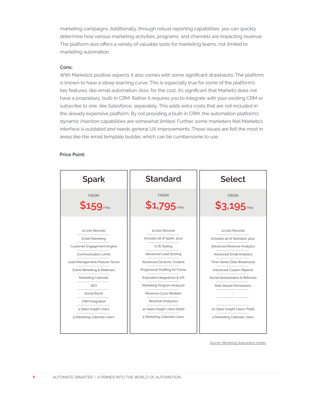marketing campaigns. Additionally, through robust reporting capabilities, you can quickly determine how various marketing activities, programs, and channels are impacting revenue. The platform also offers a variety of valuable tools for marketing teams, not limited to marketing automation.

#### **Cons:**

With Marketo's positive aspects it also comes with some significant drawbacks. The platform is known to have a steep learning curve. This is especially true for some of the platform's key features, like email automation. Also, for the cost, it's significant that Marketo does not have a proprietary, built-in CRM. Rather it requires you to integrate with your existing CRM or subscribe to one, like Salesforce, separately. This adds extra costs that are not included in the already expensive platform. By not providing a built-in CRM, the automation platform's dynamic insertion capabilities are somewhat limited. Further, some marketers feel Marketo's interface is outdated and needs general UX improvements. These issues are felt the most in areas like the email template builder, which can be cumbersome to use.

#### **Price Point:**

| <b>Spark</b>                                                                                                                                                                                                                                                                                      | <b>Standard</b>                                                                                                                                                                                                                                                                                                                  | <b>Select</b>                                                                                                                                                                                                                                                                                                  |  |  |  |
|---------------------------------------------------------------------------------------------------------------------------------------------------------------------------------------------------------------------------------------------------------------------------------------------------|----------------------------------------------------------------------------------------------------------------------------------------------------------------------------------------------------------------------------------------------------------------------------------------------------------------------------------|----------------------------------------------------------------------------------------------------------------------------------------------------------------------------------------------------------------------------------------------------------------------------------------------------------------|--|--|--|
| <b>FROM</b><br>$$159$ /mo                                                                                                                                                                                                                                                                         | <b>FROM</b><br>$$1,795$ /mo                                                                                                                                                                                                                                                                                                      | <b>FROM</b><br>$$3,195$ /mo                                                                                                                                                                                                                                                                                    |  |  |  |
| 10.000 Records<br>Email Marketing<br><b>Customer Engagement Engine</b><br><b>Communication Limits</b><br>Lead Management/Nuture/Score<br>Event Marketing & Webinars<br>Marketing Calendar<br><b>SEO</b><br>Social Boost<br>CRM Integration<br>5 Sales Insight Users<br>5 Marketing Calendar Users | 10.000 Records<br>Includes all of Spark, plus:<br>A/B Testing<br>Advanced Lead Scoring<br>Advanced Dynamic Content<br>Progressive Profiling for Forms<br>Extended Integrations & API<br>Marketing Program Analyzer<br>Revenue Cycle Modeler<br>Revenue Analyzers<br>10 Sales Insight Users (total)<br>5 Marketing Calendar Users | 10.000 Records<br>Includes all of Standard, plus:<br>Advanced Revenue Analytics<br><b>Advanced Email Analytics</b><br>Time-Series Data Warehouse<br><b>Advanced Custom Reports</b><br>Social Sweepstakes & Referrals<br>Role-Based Permissions<br>20 Sales Insight Users (Total)<br>5 Marketing Calendar Users |  |  |  |

*Source: Marketing Automation Insider*